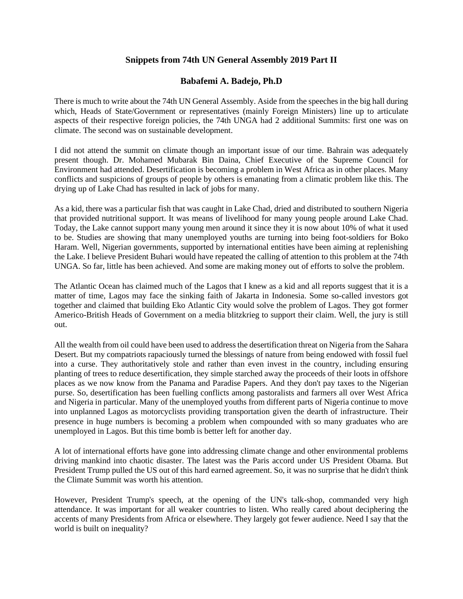## **Snippets from 74th UN General Assembly 2019 Part II**

## **Babafemi A. Badejo, Ph.D**

There is much to write about the 74th UN General Assembly. Aside from the speeches in the big hall during which, Heads of State/Government or representatives (mainly Foreign Ministers) line up to articulate aspects of their respective foreign policies, the 74th UNGA had 2 additional Summits: first one was on climate. The second was on sustainable development.

I did not attend the summit on climate though an important issue of our time. Bahrain was adequately present though. Dr. Mohamed Mubarak Bin Daina, Chief Executive of the Supreme Council for Environment had attended. Desertification is becoming a problem in West Africa as in other places. Many conflicts and suspicions of groups of people by others is emanating from a climatic problem like this. The drying up of Lake Chad has resulted in lack of jobs for many.

As a kid, there was a particular fish that was caught in Lake Chad, dried and distributed to southern Nigeria that provided nutritional support. It was means of livelihood for many young people around Lake Chad. Today, the Lake cannot support many young men around it since they it is now about 10% of what it used to be. Studies are showing that many unemployed youths are turning into being foot-soldiers for Boko Haram. Well, Nigerian governments, supported by international entities have been aiming at replenishing the Lake. I believe President Buhari would have repeated the calling of attention to this problem at the 74th UNGA. So far, little has been achieved. And some are making money out of efforts to solve the problem.

The Atlantic Ocean has claimed much of the Lagos that I knew as a kid and all reports suggest that it is a matter of time, Lagos may face the sinking faith of Jakarta in Indonesia. Some so-called investors got together and claimed that building Eko Atlantic City would solve the problem of Lagos. They got former Americo-British Heads of Government on a media blitzkrieg to support their claim. Well, the jury is still out.

All the wealth from oil could have been used to address the desertification threat on Nigeria from the Sahara Desert. But my compatriots rapaciously turned the blessings of nature from being endowed with fossil fuel into a curse. They authoritatively stole and rather than even invest in the country, including ensuring planting of trees to reduce desertification, they simple starched away the proceeds of their loots in offshore places as we now know from the Panama and Paradise Papers. And they don't pay taxes to the Nigerian purse. So, desertification has been fuelling conflicts among pastoralists and farmers all over West Africa and Nigeria in particular. Many of the unemployed youths from different parts of Nigeria continue to move into unplanned Lagos as motorcyclists providing transportation given the dearth of infrastructure. Their presence in huge numbers is becoming a problem when compounded with so many graduates who are unemployed in Lagos. But this time bomb is better left for another day.

A lot of international efforts have gone into addressing climate change and other environmental problems driving mankind into chaotic disaster. The latest was the Paris accord under US President Obama. But President Trump pulled the US out of this hard earned agreement. So, it was no surprise that he didn't think the Climate Summit was worth his attention.

However, President Trump's speech, at the opening of the UN's talk-shop, commanded very high attendance. It was important for all weaker countries to listen. Who really cared about deciphering the accents of many Presidents from Africa or elsewhere. They largely got fewer audience. Need I say that the world is built on inequality?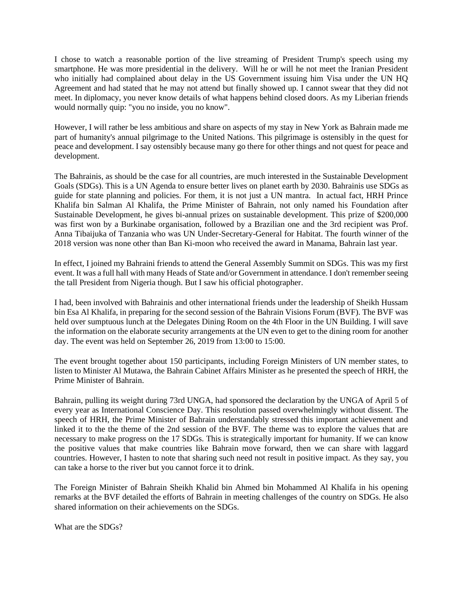I chose to watch a reasonable portion of the live streaming of President Trump's speech using my smartphone. He was more presidential in the delivery. Will he or will he not meet the Iranian President who initially had complained about delay in the US Government issuing him Visa under the UN HQ Agreement and had stated that he may not attend but finally showed up. I cannot swear that they did not meet. In diplomacy, you never know details of what happens behind closed doors. As my Liberian friends would normally quip: "you no inside, you no know".

However, I will rather be less ambitious and share on aspects of my stay in New York as Bahrain made me part of humanity's annual pilgrimage to the United Nations. This pilgrimage is ostensibly in the quest for peace and development. I say ostensibly because many go there for other things and not quest for peace and development.

The Bahrainis, as should be the case for all countries, are much interested in the Sustainable Development Goals (SDGs). This is a UN Agenda to ensure better lives on planet earth by 2030. Bahrainis use SDGs as guide for state planning and policies. For them, it is not just a UN mantra. In actual fact, HRH Prince Khalifa bin Salman Al Khalifa, the Prime Minister of Bahrain, not only named his Foundation after Sustainable Development, he gives bi-annual prizes on sustainable development. This prize of \$200,000 was first won by a Burkinabe organisation, followed by a Brazilian one and the 3rd recipient was Prof. Anna Tibaijuka of Tanzania who was UN Under-Secretary-General for Habitat. The fourth winner of the 2018 version was none other than Ban Ki-moon who received the award in Manama, Bahrain last year.

In effect, I joined my Bahraini friends to attend the General Assembly Summit on SDGs. This was my first event. It was a full hall with many Heads of State and/or Government in attendance. I don't remember seeing the tall President from Nigeria though. But I saw his official photographer.

I had, been involved with Bahrainis and other international friends under the leadership of Sheikh Hussam bin Esa Al Khalifa, in preparing for the second session of the Bahrain Visions Forum (BVF). The BVF was held over sumptuous lunch at the Delegates Dining Room on the 4th Floor in the UN Building. I will save the information on the elaborate security arrangements at the UN even to get to the dining room for another day. The event was held on September 26, 2019 from 13:00 to 15:00.

The event brought together about 150 participants, including Foreign Ministers of UN member states, to listen to Minister Al Mutawa, the Bahrain Cabinet Affairs Minister as he presented the speech of HRH, the Prime Minister of Bahrain.

Bahrain, pulling its weight during 73rd UNGA, had sponsored the declaration by the UNGA of April 5 of every year as International Conscience Day. This resolution passed overwhelmingly without dissent. The speech of HRH, the Prime Minister of Bahrain understandably stressed this important achievement and linked it to the the theme of the 2nd session of the BVF. The theme was to explore the values that are necessary to make progress on the 17 SDGs. This is strategically important for humanity. If we can know the positive values that make countries like Bahrain move forward, then we can share with laggard countries. However, I hasten to note that sharing such need not result in positive impact. As they say, you can take a horse to the river but you cannot force it to drink.

The Foreign Minister of Bahrain Sheikh Khalid bin Ahmed bin Mohammed Al Khalifa in his opening remarks at the BVF detailed the efforts of Bahrain in meeting challenges of the country on SDGs. He also shared information on their achievements on the SDGs.

What are the SDGs?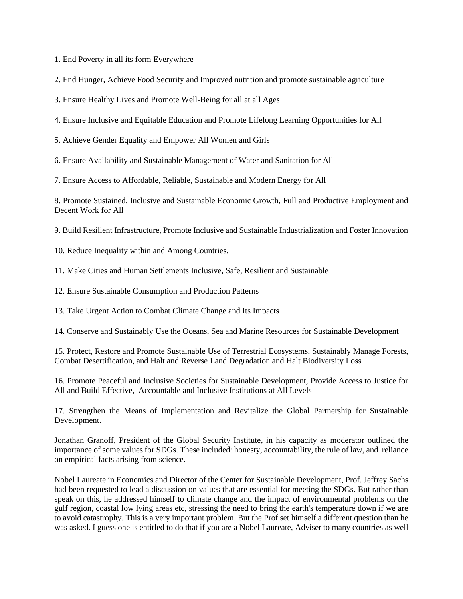1. End Poverty in all its form Everywhere

2. End Hunger, Achieve Food Security and Improved nutrition and promote sustainable agriculture

3. Ensure Healthy Lives and Promote Well-Being for all at all Ages

4. Ensure Inclusive and Equitable Education and Promote Lifelong Learning Opportunities for All

5. Achieve Gender Equality and Empower All Women and Girls

6. Ensure Availability and Sustainable Management of Water and Sanitation for All

7. Ensure Access to Affordable, Reliable, Sustainable and Modern Energy for All

8. Promote Sustained, Inclusive and Sustainable Economic Growth, Full and Productive Employment and Decent Work for All

9. Build Resilient Infrastructure, Promote Inclusive and Sustainable Industrialization and Foster Innovation

10. Reduce Inequality within and Among Countries.

11. Make Cities and Human Settlements Inclusive, Safe, Resilient and Sustainable

12. Ensure Sustainable Consumption and Production Patterns

13. Take Urgent Action to Combat Climate Change and Its Impacts

14. Conserve and Sustainably Use the Oceans, Sea and Marine Resources for Sustainable Development

15. Protect, Restore and Promote Sustainable Use of Terrestrial Ecosystems, Sustainably Manage Forests, Combat Desertification, and Halt and Reverse Land Degradation and Halt Biodiversity Loss

16. Promote Peaceful and Inclusive Societies for Sustainable Development, Provide Access to Justice for All and Build Effective, Accountable and Inclusive Institutions at All Levels

17. Strengthen the Means of Implementation and Revitalize the Global Partnership for Sustainable Development.

Jonathan Granoff, President of the Global Security Institute, in his capacity as moderator outlined the importance of some values for SDGs. These included: honesty, accountability, the rule of law, and reliance on empirical facts arising from science.

Nobel Laureate in Economics and Director of the Center for Sustainable Development, Prof. Jeffrey Sachs had been requested to lead a discussion on values that are essential for meeting the SDGs. But rather than speak on this, he addressed himself to climate change and the impact of environmental problems on the gulf region, coastal low lying areas etc, stressing the need to bring the earth's temperature down if we are to avoid catastrophy. This is a very important problem. But the Prof set himself a different question than he was asked. I guess one is entitled to do that if you are a Nobel Laureate, Adviser to many countries as well